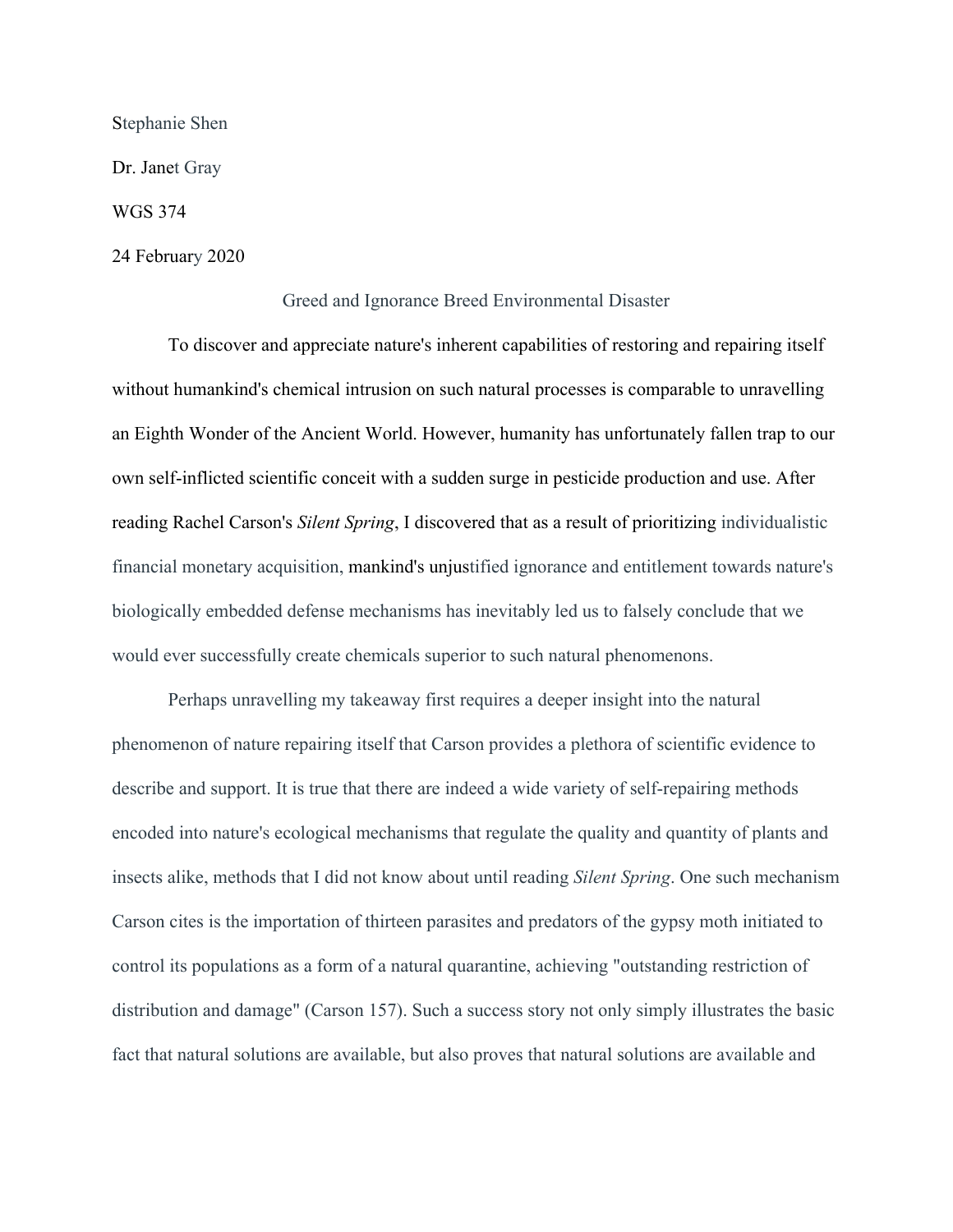Stephanie Shen

Dr. Janet Gray

WGS 374

24 February 2020

## Greed and Ignorance Breed Environmental Disaster

To discover and appreciate nature's inherent capabilities of restoring and repairing itself without humankind's chemical intrusion on such natural processes is comparable to unravelling an Eighth Wonder of the Ancient World. However, humanity has unfortunately fallen trap to our own self-inflicted scientific conceit with a sudden surge in pesticide production and use. After reading Rachel Carson's *Silent Spring*, I discovered that as a result of prioritizing individualistic financial monetary acquisition, mankind's unjustified ignorance and entitlement towards nature's biologically embedded defense mechanisms has inevitably led us to falsely conclude that we would ever successfully create chemicals superior to such natural phenomenons.

Perhaps unravelling my takeaway first requires a deeper insight into the natural phenomenon of nature repairing itself that Carson provides a plethora of scientific evidence to describe and support. It is true that there are indeed a wide variety of self-repairing methods encoded into nature's ecological mechanisms that regulate the quality and quantity of plants and insects alike, methods that I did not know about until reading *Silent Spring*. One such mechanism Carson cites is the importation of thirteen parasites and predators of the gypsy moth initiated to control its populations as a form of a natural quarantine, achieving "outstanding restriction of distribution and damage" (Carson 157). Such a success story not only simply illustrates the basic fact that natural solutions are available, but also proves that natural solutions are available and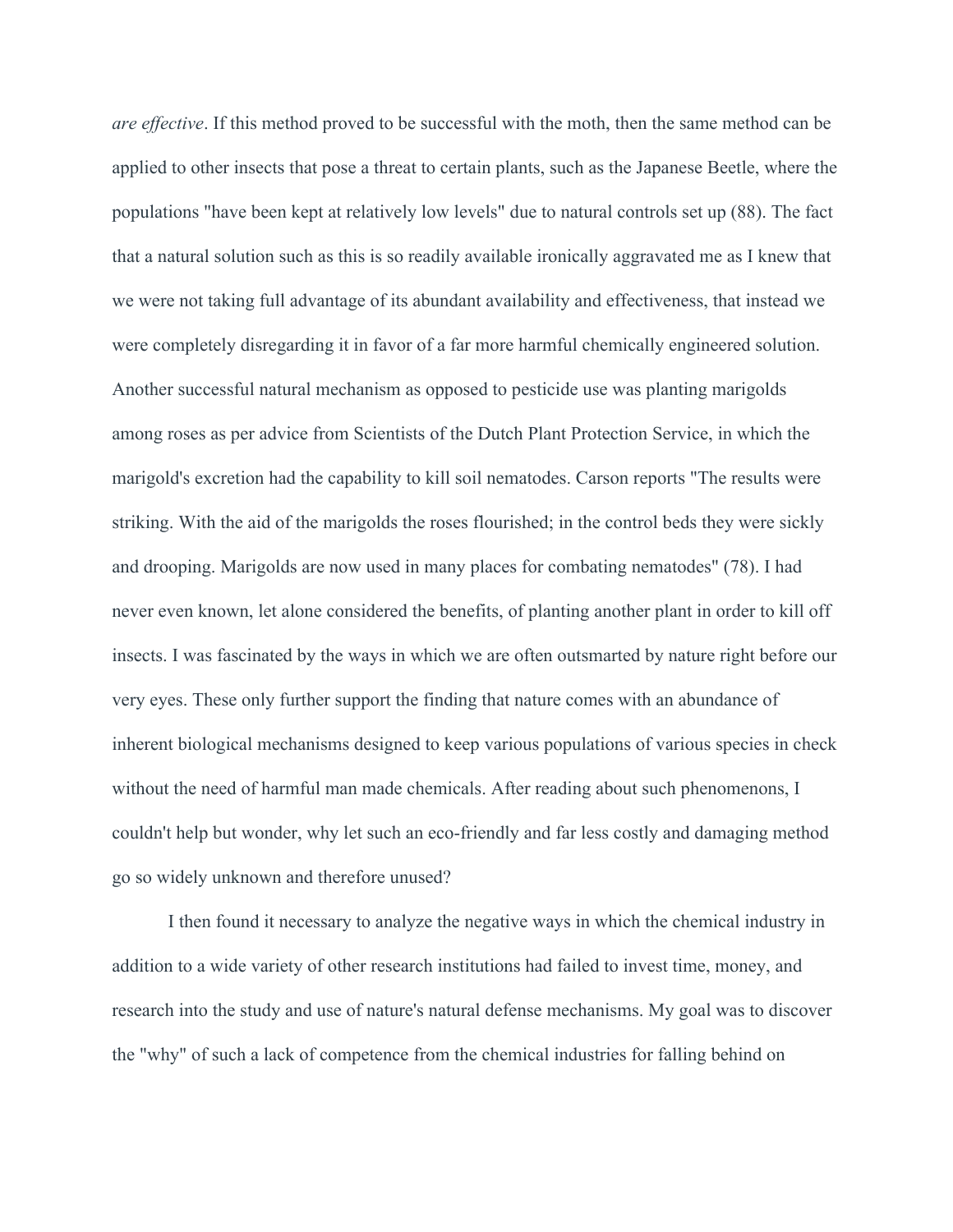*are effective*. If this method proved to be successful with the moth, then the same method can be applied to other insects that pose a threat to certain plants, such as the Japanese Beetle, where the populations "have been kept at relatively low levels" due to natural controls set up (88). The fact that a natural solution such as this is so readily available ironically aggravated me as I knew that we were not taking full advantage of its abundant availability and effectiveness, that instead we were completely disregarding it in favor of a far more harmful chemically engineered solution. Another successful natural mechanism as opposed to pesticide use was planting marigolds among roses as per advice from Scientists of the Dutch Plant Protection Service, in which the marigold's excretion had the capability to kill soil nematodes. Carson reports "The results were striking. With the aid of the marigolds the roses flourished; in the control beds they were sickly and drooping. Marigolds are now used in many places for combating nematodes" (78). I had never even known, let alone considered the benefits, of planting another plant in order to kill off insects. I was fascinated by the ways in which we are often outsmarted by nature right before our very eyes. These only further support the finding that nature comes with an abundance of inherent biological mechanisms designed to keep various populations of various species in check without the need of harmful man made chemicals. After reading about such phenomenons, I couldn't help but wonder, why let such an eco-friendly and far less costly and damaging method go so widely unknown and therefore unused?

I then found it necessary to analyze the negative ways in which the chemical industry in addition to a wide variety of other research institutions had failed to invest time, money, and research into the study and use of nature's natural defense mechanisms. My goal was to discover the "why" of such a lack of competence from the chemical industries for falling behind on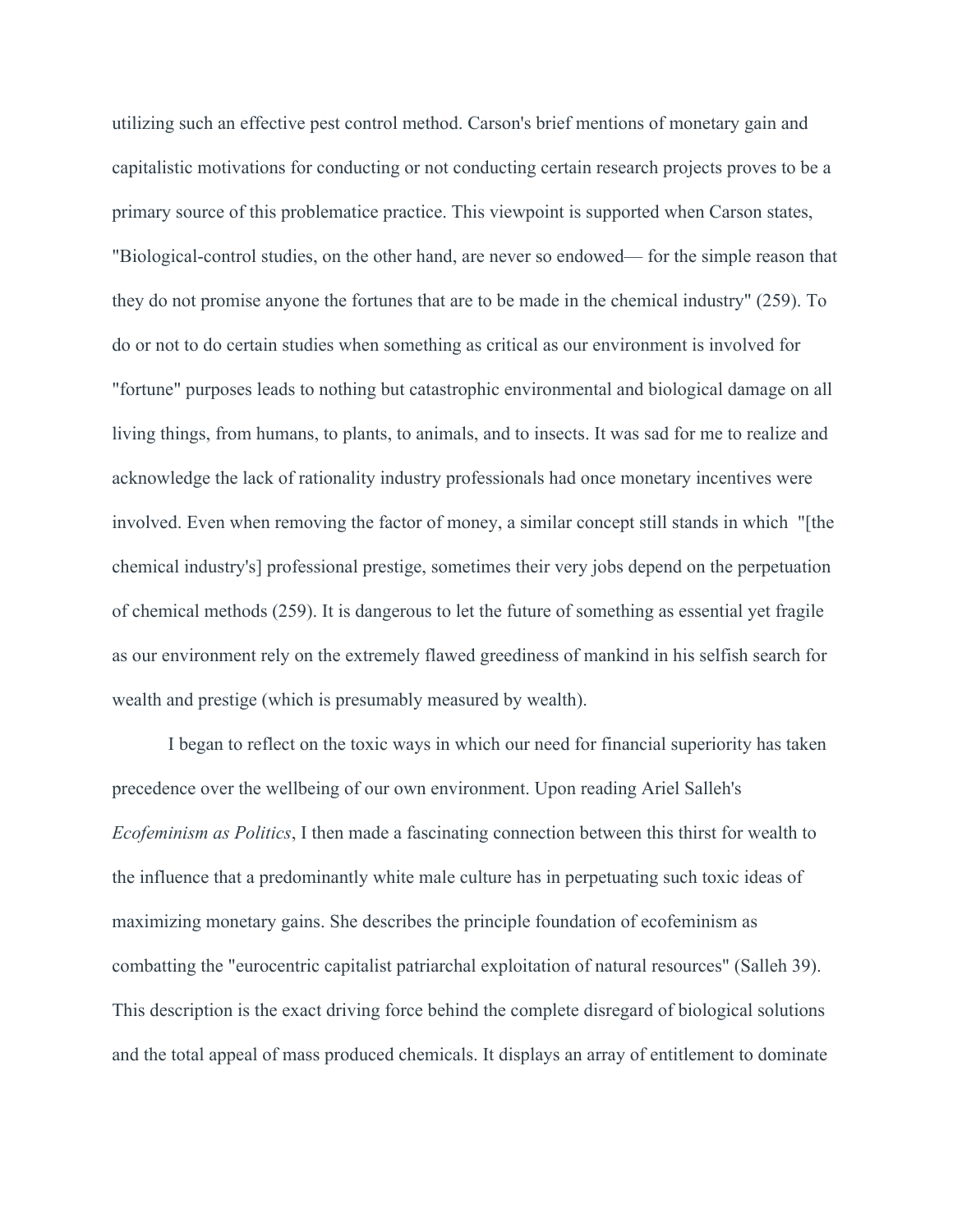utilizing such an effective pest control method. Carson's brief mentions of monetary gain and capitalistic motivations for conducting or not conducting certain research projects proves to be a primary source of this problematice practice. This viewpoint is supported when Carson states, "Biological-control studies, on the other hand, are never so endowed— for the simple reason that they do not promise anyone the fortunes that are to be made in the chemical industry" (259). To do or not to do certain studies when something as critical as our environment is involved for "fortune" purposes leads to nothing but catastrophic environmental and biological damage on all living things, from humans, to plants, to animals, and to insects. It was sad for me to realize and acknowledge the lack of rationality industry professionals had once monetary incentives were involved. Even when removing the factor of money, a similar concept still stands in which "[the chemical industry's] professional prestige, sometimes their very jobs depend on the perpetuation of chemical methods (259). It is dangerous to let the future of something as essential yet fragile as our environment rely on the extremely flawed greediness of mankind in his selfish search for wealth and prestige (which is presumably measured by wealth).

I began to reflect on the toxic ways in which our need for financial superiority has taken precedence over the wellbeing of our own environment. Upon reading Ariel Salleh's *Ecofeminism as Politics*, I then made a fascinating connection between this thirst for wealth to the influence that a predominantly white male culture has in perpetuating such toxic ideas of maximizing monetary gains. She describes the principle foundation of ecofeminism as combatting the "eurocentric capitalist patriarchal exploitation of natural resources" (Salleh 39). This description is the exact driving force behind the complete disregard of biological solutions and the total appeal of mass produced chemicals. It displays an array of entitlement to dominate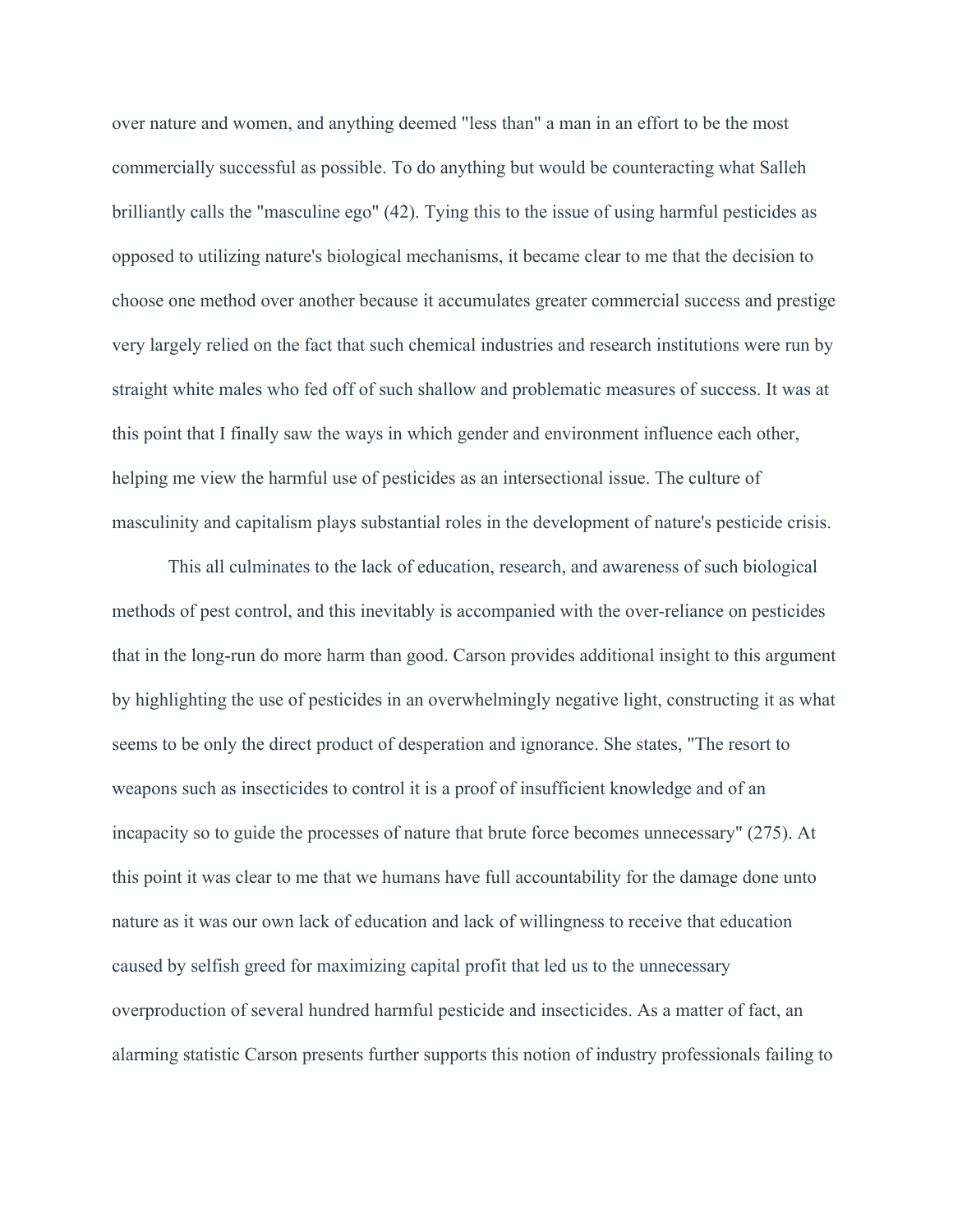over nature and women, and anything deemed "less than" a man in an effort to be the most commercially successful as possible. To do anything but would be counteracting what Salleh brilliantly calls the "masculine ego" (42). Tying this to the issue of using harmful pesticides as opposed to utilizing nature's biological mechanisms, it became clear to me that the decision to choose one method over another because it accumulates greater commercial success and prestige very largely relied on the fact that such chemical industries and research institutions were run by straight white males who fed off of such shallow and problematic measures of success. It was at this point that I finally saw the ways in which gender and environment influence each other, helping me view the harmful use of pesticides as an intersectional issue. The culture of masculinity and capitalism plays substantial roles in the development of nature's pesticide crisis.

This all culminates to the lack of education, research, and awareness of such biological methods of pest control, and this inevitably is accompanied with the over-reliance on pesticides that in the long-run do more harm than good. Carson provides additional insight to this argument by highlighting the use of pesticides in an overwhelmingly negative light, constructing it as what seems to be only the direct product of desperation and ignorance. She states, "The resort to weapons such as insecticides to control it is a proof of insufficient knowledge and of an incapacity so to guide the processes of nature that brute force becomes unnecessary" (275). At this point it was clear to me that we humans have full accountability for the damage done unto nature as it was our own lack of education and lack of willingness to receive that education caused by selfish greed for maximizing capital profit that led us to the unnecessary overproduction of several hundred harmful pesticide and insecticides. As a matter of fact, an alarming statistic Carson presents further supports this notion of industry professionals failing to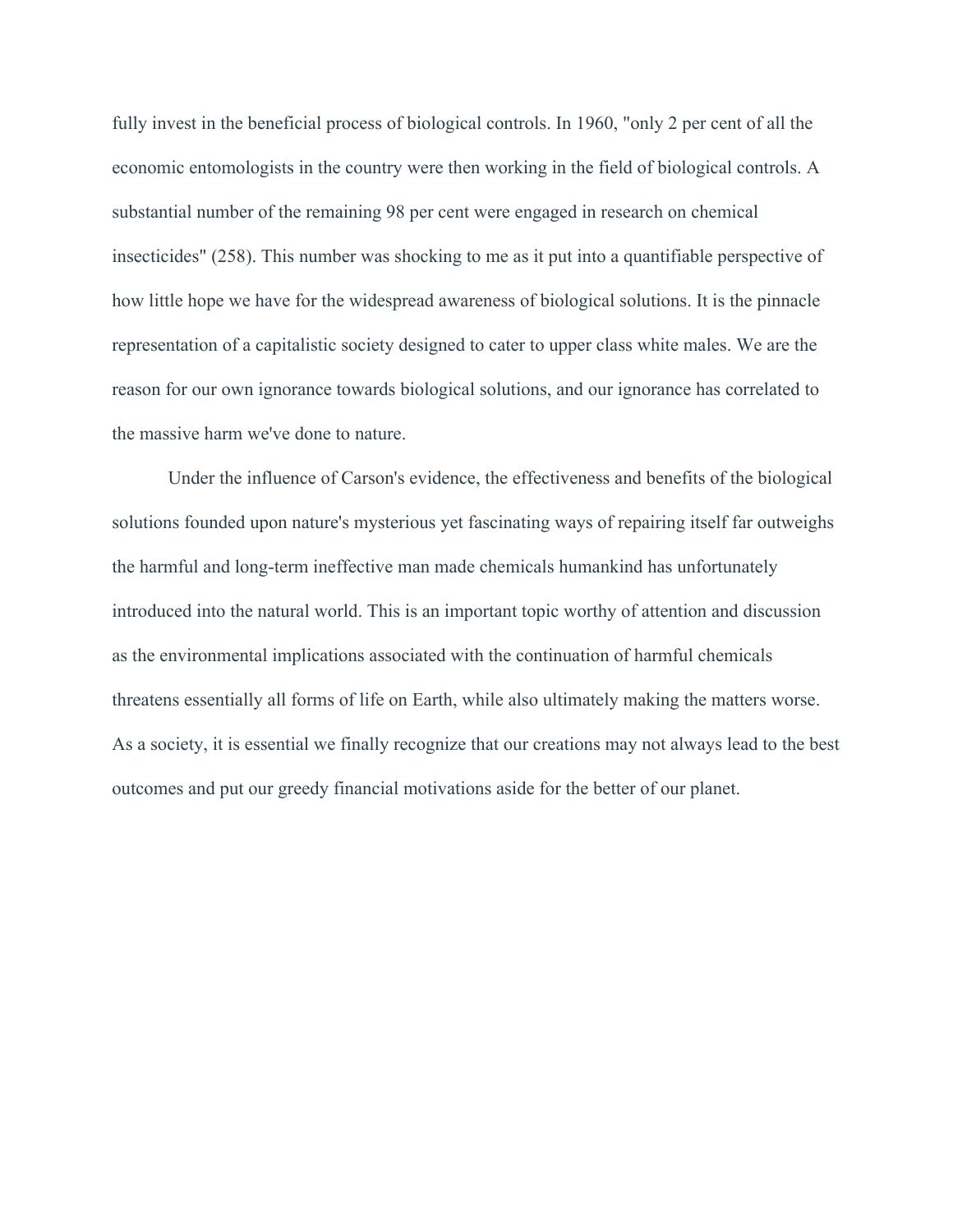fully invest in the beneficial process of biological controls. In 1960, "only 2 per cent of all the economic entomologists in the country were then working in the field of biological controls. A substantial number of the remaining 98 per cent were engaged in research on chemical insecticides" (258). This number was shocking to me as it put into a quantifiable perspective of how little hope we have for the widespread awareness of biological solutions. It is the pinnacle representation of a capitalistic society designed to cater to upper class white males. We are the reason for our own ignorance towards biological solutions, and our ignorance has correlated to the massive harm we've done to nature.

Under the influence of Carson's evidence, the effectiveness and benefits of the biological solutions founded upon nature's mysterious yet fascinating ways of repairing itself far outweighs the harmful and long-term ineffective man made chemicals humankind has unfortunately introduced into the natural world. This is an important topic worthy of attention and discussion as the environmental implications associated with the continuation of harmful chemicals threatens essentially all forms of life on Earth, while also ultimately making the matters worse. As a society, it is essential we finally recognize that our creations may not always lead to the best outcomes and put our greedy financial motivations aside for the better of our planet.